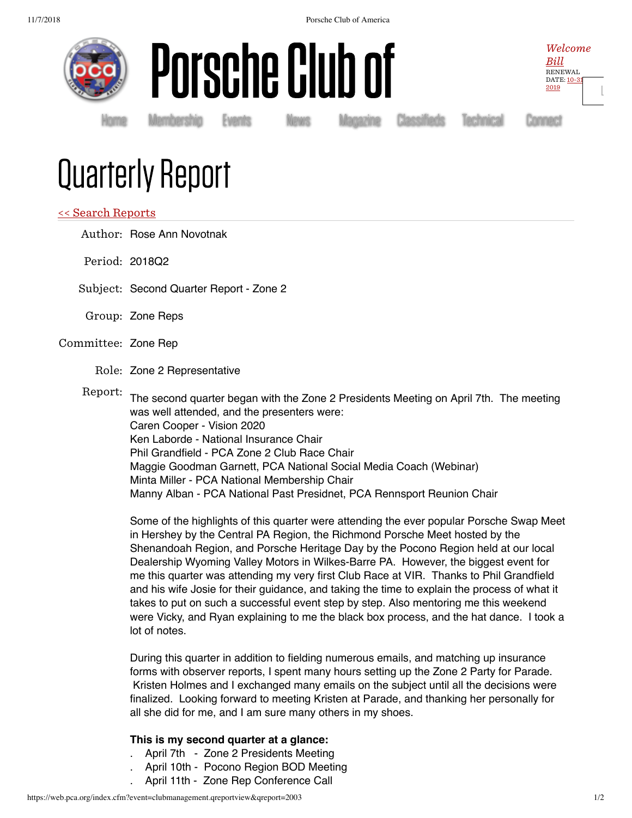



Welcome  $Bill$ RENEWAL DATE: 10-31 2019

[Ŀ](https://web.pca.org/index.cfm?event=general.logout)

Homė Membership Events News Magazine Classifieds Technical Connect

# Quarterly Report

## << Search Reports

Author: Rose Ann Novotnak

- Period: 2018Q2
- Subject: Second Quarter Report Zone 2
- Group: Zone Reps

### Committee: Zone Rep

Role: Zone 2 Representative

Report: The second quarter began with the Zone 2 Presidents Meeting on April 7th. The meeting was well attended, and the presenters were: Caren Cooper - Vision 2020 Ken Laborde - National Insurance Chair Phil Grandfield - PCA Zone 2 Club Race Chair Maggie Goodman Garnett, PCA National Social Media Coach (Webinar) Minta Miller - PCA National Membership Chair

Manny Alban - PCA National Past Presidnet, PCA Rennsport Reunion Chair

Some of the highlights of this quarter were attending the ever popular Porsche Swap Meet in Hershey by the Central PA Region, the Richmond Porsche Meet hosted by the Shenandoah Region, and Porsche Heritage Day by the Pocono Region held at our local Dealership Wyoming Valley Motors in Wilkes-Barre PA. However, the biggest event for me this quarter was attending my very first Club Race at VIR. Thanks to Phil Grandfield and his wife Josie for their guidance, and taking the time to explain the process of what it takes to put on such a successful event step by step. Also mentoring me this weekend were Vicky, and Ryan explaining to me the black box process, and the hat dance. I took a lot of notes.

During this quarter in addition to fielding numerous emails, and matching up insurance forms with observer reports, I spent many hours setting up the Zone 2 Party for Parade. Kristen Holmes and I exchanged many emails on the subject until all the decisions were finalized. Looking forward to meeting Kristen at Parade, and thanking her personally for all she did for me, and I am sure many others in my shoes.

### **This is my second quarter at a glance:**

- April 7th Zone 2 Presidents Meeting
- April 10th Pocono Region BOD Meeting
- . April 11th Zone Rep Conference Call